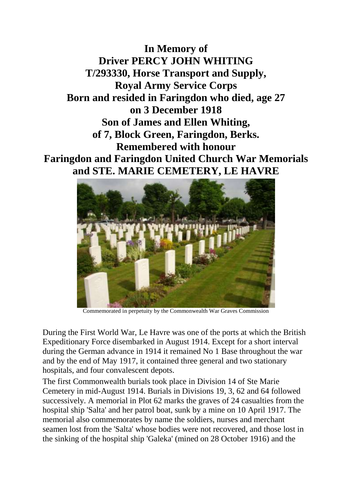**In Memory of Driver PERCY JOHN WHITING T/293330, Horse Transport and Supply, Royal Army Service Corps Born and resided in Faringdon who died, age 27 on 3 December 1918 Son of James and Ellen Whiting, of 7, Block Green, Faringdon, Berks. Remembered with honour Faringdon and Faringdon United Church War Memorials and STE. MARIE CEMETERY, LE HAVRE**



Commemorated in perpetuity by the Commonwealth War Graves Commission

During the First World War, Le Havre was one of the ports at which the British Expeditionary Force disembarked in August 1914. Except for a short interval during the German advance in 1914 it remained No 1 Base throughout the war and by the end of May 1917, it contained three general and two stationary hospitals, and four convalescent depots.

The first Commonwealth burials took place in Division 14 of Ste Marie Cemetery in mid-August 1914. Burials in Divisions 19, 3, 62 and 64 followed successively. A memorial in Plot 62 marks the graves of 24 casualties from the hospital ship 'Salta' and her patrol boat, sunk by a mine on 10 April 1917. The memorial also commemorates by name the soldiers, nurses and merchant seamen lost from the 'Salta' whose bodies were not recovered, and those lost in the sinking of the hospital ship 'Galeka' (mined on 28 October 1916) and the